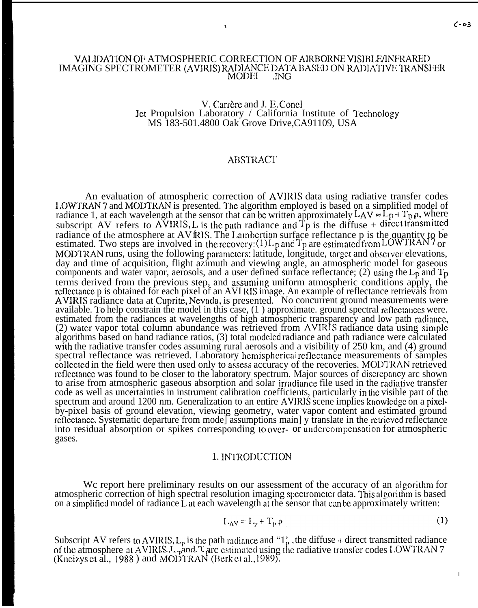## VAI JDATION OF ATMOSPHERIC CORRECTION OF AIRBORNE VISIBLE/INFRARED IMAGING SPECTROMETER (AVIRIS) RADIANCE DATA BASED ON RADIATIVE TRANSFER MODEL JNG MODEI

#### V. Carrère and J. E. Conel Jet Propulsion Laboratory / California Institute of Technology MS 183-501.4800 Oak Grove Drive,CA91109, USA

# **ABSTRACT**

An evaluation of atmospheric correction of AVIRIS data using radiative transfer codes 1.OWTRAN 7 and MODTRAN is presented. The algorithm employed is based on a simplified model of radiance 1, at each wavelength at the sensor that can be written approximately  $LAV \approx L<sub>p</sub> + T<sub>p</sub> \rho$ , where subscript AV refers to AVIRIS, L is the path radiance and  $T_p$  is the diffuse + direct transmitted radiance of the atmosphere at AV fRIS. The Lambertian surface reflectance p is the quantity to be estimated. Two steps are involved in the recovery:  $(1)I_p$  and  $T_p$  are estimated from LOWTRAN 7 or MODTRAN runs, using the following parameters: latitude, longitude, target and observer elevations, day and time of acquisition, flight azimuth and viewing angle, an atmospheric model for gaseous components and water vapor, aerosols, and a user defined surface reflectance; (2) using the  $L_p$  and  $T_p$ terms derived from the previous step, and assuniing uniform atmospheric conditions apply, the rcflectance p is obtained for each pixel of an AVI RIS image. An example of reflectance retrievals from AVIRIS radiance data at Cuprite, Nevada, is presented. No concurrent ground measurements were available. To help constrain the model in this case,  $(1)$  approximate. ground spectral reflectances were. estimated from the radiances at wavelengths of high atmospheric transparency and low path radiance,  $(2)$  water vapor total column abundance was retrieved from AVIRIS radiance data using simple algorithms based on band radiance ratios, (3) total modeled radiance and path radiance were calculated with the radiative transfer codes assuming rural aerosols and a visibility of 250 km, and (4) ground spectral reflectance was retrieved. Laboratory hemispherical reflectance measurements of samples collected in the field were then used only to assess accuracy of the recoveries. MODTRAN retrieved reflectance was found to be closer to the laboratory spectrum. Major sources of discrepancy arc shown to arise from atmospheric gaseous absorption and solar irradiance file used in the radiative transfer code as well as uncertainties in instrument calibration coefficients, particularly in the visible part of the spectrum and around 1200 nm. Generalization to an entire AVIRIS scene implies knowledge on a pixelby-pixel basis of ground elevation, viewing geometry, water vapor content and estimated ground reflectance. Systematic departure from mode assumptions main | y translate in the retrieved reflectance into residual absorption or spikes corresponding to ovcr- or undcrcompensation for atmospheric gases.

## 1. INTRODUCTION

We report here preliminary results on our assessment of the accuracy of an algorithm for atmospheric correction of high spectral resolution imaging spectrometer data. This algorithm is based on a simplified model of radiance  $\tilde{L}$  at each wavelength at the sensor that can be approximately written:

$$
I_{A}V = I_{\mathcal{P}} + T_{\mathcal{P}}\rho
$$
 (1)

Subscript AV refers to AVIRIS,  $L_p$  is the path radiance and "1<sup>'</sup>, the diffuse + direct transmitted radiance of the atmosphere at AVIRIS.  $I_{\gamma}$  and  $T$  arc estimated using the radiative transfer codes LOWTRAN 7 (Kneizys et al., 1988) and MODTRAN (Berk et al., 1989).

**I**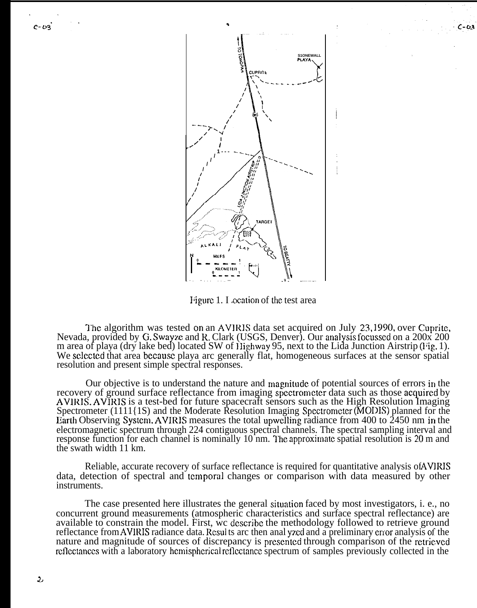

Figure 1. I ocation of the test area

The algorithm was tested on an AVIRIS data set acquired on July 23,1990, over Cuprite, Nevada, provided by G. Swayze and R. Clark (USGS, Denver). Our analysis focussed on a 200x 200 m area of playa (dry lake bed) located SW of Highway 95, next to the Lida Junction Airstrip (Fig. 1). We selected that area because playa arc generally flat, homogeneous surfaces at the sensor spatial resolution and present simple spectral responses.

Our objective is to understand the nature and magnitude of potential sources of errors in the recovery of ground surface reflectance from imaging spectrometer data such as those acquired by AVIRIS. AVIRIS is a test-bed for future spacecraft sensors such as the High Resolution Imaging Spectrometer (1111{1S) and the Moderate Resolution Imaging Spectrometer (MODIS) planned for the Earth Observing System, AVIRIS measures the total upwelling radiance from 400 to 2450 nm in the electromagnetic spectrum through 224 contiguous spectral channels. The spectral sampling interval and response function for each channel is nominally 10 nm. The approximate spatial resolution is 20 m and the swath width 11 km.

Reliable, accurate recovery of surface reflectance is required for quantitative analysis of AVIRIS data, detection of spectral and temporal changes or comparison with data measured by other instruments.

The case presented here illustrates the general situation faced by most investigators, i. e., no concurrent ground measurements (atmospheric characteristics and surface spectral reflectance) are available to constrain the model. First, we describe the methodology followed to retrieve ground reflectance from AVIRIS radiance data. Results are then analyzed and a preliminary error analysis of the nature and magnitude of sources of discrepancy is presented through comparison of the retrieved reflectances with a laboratory hemispherical reflectance spectrum of samples previously collected in the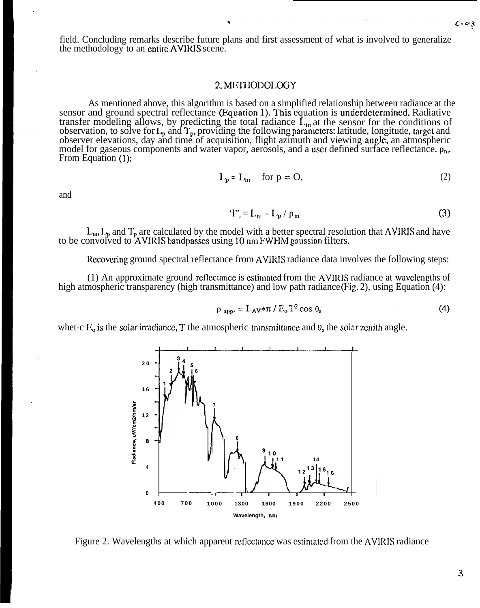field. Concluding remarks describe future plans and first assessment of what is involved to generalize the methodology to an entire AVIWS scene.

# 2. METHODOLOGY

As mentioned above, this algorithm is based on a simplified relationship between radiance at the sensor and ground spectral reflectance (Equation 1). This equation is underdetermined. Radiative transfer modeling allows, by predicting the total radiance  $\hat{L}_{m}$  at the sensor for the conditions of transier modeling anows, by predicting the total radiance  $L_m$  at the sensor for the conditions of observation, to solve for  $L_p$  and  $T_p$ , providing the following parameters: latitude, longitude, target and observer elevations, day and time of acquisition, flight azimuth and viewing angle, an atmospheric model for gaseous components and water vapor, aerosols, and a user defined surface reflectance.  $\rho_{\rm m}$ . From Equation (1):

and

$$
L_p = L_m \quad \text{for } p = 0,
$$
 (2)

$$
T_p = L_{\rm m} - L_p / \rho_{\rm m} \tag{3}
$$

 $L_{\text{m}}$ ,  $L_{\text{p}}$  and  $T_{\text{p}}$  are calculated by the model with a better spectral resolution that AVIRIS and have to be convolved to AVIRIS bandpasses using 10 nm FWHM gaussian filters.

Rccovcring ground spectral reflectance from AVIRIS radiance data involves the following steps:

(1) An approximate ground reflectance is estimated from the AVIRIS radiance at wavelengths of high atmospheric transparency (high transmittance) and low path radiance (Fig. 2), using Equation (4):

$$
\rho_{\text{app}} = L_A v \ast \pi / E_0 T^2 \cos \theta_s \tag{4}
$$

whet-c  $E_0$  is the solar irradiance, T the atmospheric transmittance and  $\theta_0$ , the solar zenith angle.

**4 0 0 7 0 0 100 0 1300 1600 190 0 220 0 250 0 Wavelength, nm** I

Figure 2. Wavelengths at which apparent reflectance was estimated from the AVIRIS radiance



 $1.03$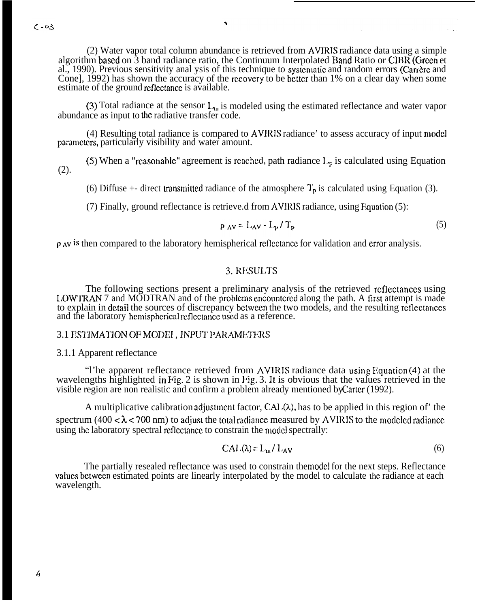$C - 03$ 

(2) Water vapor total column abundance is retrieved from AVIRTS radiance data using a simple algorithm based on  $\hat{3}$  band radiance ratio, the Continuum Interpolated Band Ratio or CIBR (Green et al., 1990). Previous sensitivity anal ysis of this technique to systematic and random errors (Carrere and Cone], 1992) has shown the accuracy of the recovery to be better than 1% on a clear day when some estimate of the ground reflectance is available.

٠

(3) Total radiance at the sensor  $L_{\text{m}}$  is modeled using the estimated reflectance and water vapor abundance as input to the radiative transfer code.

(4) Resulting total radiance is compared to AVIRIS radiance' to assess accuracy of input model pammctcrs, particularly visibility and water amount.

(5) When a "reasonable" agreement is reached, path radiance  $I_{\nu}$  is calculated using Equation (2).

(6) Diffuse  $+$ - direct transmitted radiance of the atmosphere  $T_p$  is calculated using Equation (3).

(7) Finally, ground reflectance is retrieve.d from AVIRIS radiance, using Fquation  $(5)$ :

$$
\rho_{AV} = L_{AV} - L_{p}/T_{p} \tag{5}
$$

 $\rho$  Av is then compared to the laboratory hemispherical reflectance for validation and error analysis.

# 3. RESULTS

The following sections present a preliminary analysis of the retrieved rcflcctances using LOWTRAN 7 and MODTRAN and of the problems encountered along the path. A first attempt is made to explain in detail the sources of discrepancy bctwccn the two models, and the resulting reilcctances and the laboratory hemispherical reflectance used as a reference.

## 3.1 ESTIMATION OF MODEI, INPUT PARAMETERS

3.1.1 Apparent reflectance

"l'he apparent reflectance retrieved from AVIRIS radiance data using Equation (4) at the wavelengths highlighted in Pig. 2 is shown in Pig. 3. It is obvious that the values retrieved in the visible region are non realistic and confirm a problem already mentioned by Carter (1992).

A multiplicative calibration adjustment factor, CAL $(\lambda)$ , has to be applied in this region of' the spectrum (400  $\lt \lambda \lt 700$  nm) to adjust the total radiance measured by AVIRIS to the modeled radiance using the laboratory spectral reflectance to constrain the model spectrally:

$$
CAI.(\lambda) = L_{\text{m}}/L_{\text{AV}} \tag{6}
$$

The partially resealed reflectance was used to constrain the model for the next steps. Reflectance values between estimated points are linearly interpolated by the model to calculate the radiance at each wavelength.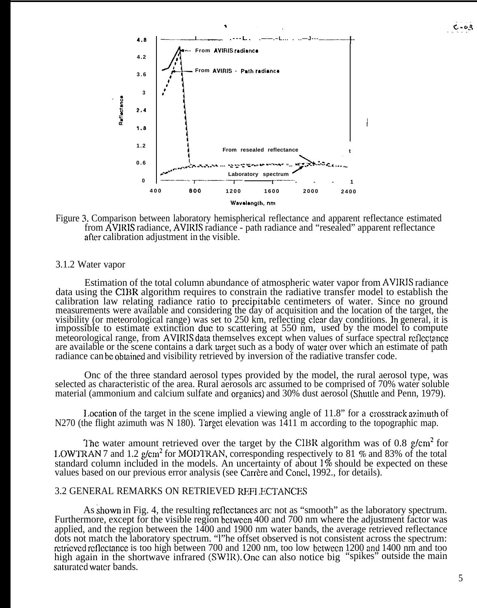



## 3.1.2 Water vapor

Estimation of the total column abundance of atmospheric water vapor from AVIRIS radiance data using the CIBR algorithm requires to constrain the radiative transfer model to establish the calibration law relating radiance ratio to precipitable centimeters of water. Since no ground measurements were available and considering the day of acquisition and the location of the target, the visibility (or meteorological range) was set to 250 km, reflecting clear day conditions. In general, it is impossible to estimate extinction duc to scattering at 550 nm, used by the model to compute meteorological range, from AVIRIS data themselves except when values of surface spectral reflectance are available or the scene contains a dark target such as a body of water over which an estimate of path radiance can be obtained and visibility retrieved by inversion of the radiative transfer code.

Onc of the three standard aerosol types provided by the model, the rural aerosol type, was selected as characteristic of the area. Rural aerosols arc assumed to be comprised of 70% water soluble material (ammonium and calcium sulfate and organics) and 30% dust aerosol (Shuttle and Penn, 1979).

Location of the target in the scene implied a viewing angle of 11.8" for a crosstrack azimuth of N270 (the flight azimuth was N 180). Target elevation was  $1411 \text{ m}$  according to the topographic map.

The water amount retrieved over the target by the CIBR algorithm was of 0.8 g/cm<sup>2</sup> for 1,OWTRAN 7 and 1.2 g/cm2 for MOD1-RAN, corresponding respectively to 81 **YO** and 83% of the total standard column included in the models. An uncertainty of about  $1\%$  should be expected on these values based on our previous error analysis (see Carrère and Concl, 1992., for details).

## 3.2 GENERAL REMARKS ON RETRIEVED REFLECTANCES

As shown in Fig. 4, the resulting reflcctances arc not as "smooth" as the laboratory spectrum. Furthermore, except for the visible region between 400 and 700 nm where the adjustment factor was applied, and the region between the 1400 and 1900 nm water bands, the average retrieved reflectance dots not match the laboratory spectrum. "l"he offset observed is not consistent across the spectrum: rctricvcd reflectance is too high between 700 and 1200 nm, too low between 1200 and 1400 nm and too high again in the shortwave infrared (SWIR). One can also notice big "spikes" outside the main saturated water bands.

 $C - 0.3$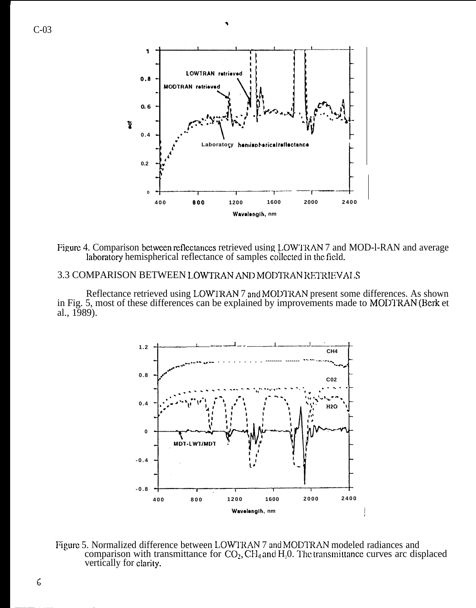

Figure 4. Comparison between reflectances retrieved using LOWTRAN 7 and MOD-l-RAN and average laboratory hemispherical reflectance of samples collected in the field.

# 3.3 COMPARISON BETWEEN LOWTRAN AND MODTRAN RETRIEVALS

Reflectance retrieved using LOWIRAN 7 and MODTRAN present some differences. As shown<br>in Fig. 5, most of these differences can be explained by improvements made to MODTRAN (Berk et al., 1989).



Figure 5. Normalized difference between LOWTRAN 7 and MODTRAN modeled radiances and comparison with transmittance for  $CO_2$ ,  $CH_4$  and  $H_2O$ . The transmittance curves arc displaced vertically for clarity.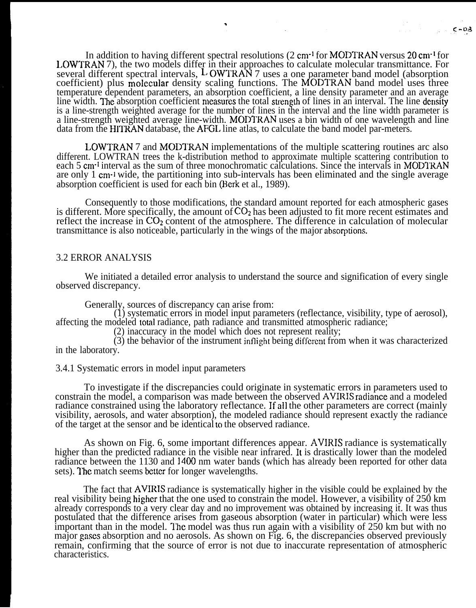In addition to having different spectral resolutions (2 cm<sup>-1</sup> for MODTRAN versus 20 cm<sup>-1</sup> for I.OWTRAN 7), the two models differ in their approaches to calculate molecular transmittance. For several different spectral intervals,  $L$  OWTRAN 7 uses a one parameter band model (absorption coefficient) plus molecular density scaling functions. The MODTRAN band model uses three temperature dependent parameters, an absorption coefficient, a line density parameter and an average line width. The absorption coefficient measures the total strength of lines in an interval. The line density is a line-strength weighted average for the number of lines in the interval and the line width parameter is a line-strength weighted average line-width. MODTRAN uses a bin width of one wavelength and line data from the HITRAN database, the AFGL line atlas, to calculate the band model par-meters.

LOWTRAN 7 and MODIRAN implementations of the multiple scattering routines arc also different. LOWTRAN trees the k-distribution method to approximate multiple scattering contribution to each 5 cm<sup>-1</sup> interval as the sum of three monochromatic calculations. Since the intervals in MODTRAN are only 1 cm<sup>-1</sup> wide, the partitioning into sub-intervals has been eliminated and the single average absorption coefficient is used for each bin (Hcrk et al., 1989).

Consequently to those modifications, the standard amount reported for each atmospheric gases is different. More specifically, the amount of  $CO<sub>2</sub>$  has been adjusted to fit more recent estimates and reflect the increase in  $CO<sub>2</sub>$  content of the atmosphere. The difference in calculation of molecular transmittance is also noticeable, particularly in the wings of the major absorprions.

#### 3.2 ERROR ANALYSIS

We initiated a detailed error analysis to understand the source and signification of every single observed discrepancy.

Generally, sources of discrepancy can arise from:

(1) systematic errors in model input parameters (reflectance, visibility, type of aerosol), affecting the modeled total radiance, path radiance and transmitted atmospheric radiance;

(2) inaccuracy in the model which does not represent reality;

 $(3)$  the behavior of the instrument inflight being different from when it was characterized in the laboratory.

3.4.1 Systematic errors in model input parameters

To investigate if the discrepancies could originate in systematic errors in parameters used to constrain the model, a comparison was made between the observed AVIRIS racliance and a modeled radiance constrained using the laboratory reflectance. If all the other parameters are correct (mainly visibility, aerosols, and water absorption), the modeled radiance should represent exactly the radiance of the target at the sensor and be identical to the observed radiance.

As shown on Fig. 6, some important differences appear. AVIRIS radiance is systematically higher than the predicted radiance in the visible near infrared. It is drastically lower than the modeled radiance between the 1130 and 1400 nm water bands (which has already been reported for other data sets). The match seems better for longer wavelengths.

The fact that AVIRIS radiance is systematically higher in the visible could be explained by the real visibility being higher that the one used to constrain the model. However, a visibility of 250 km already corresponds to a very clear day and no improvement was obtained by increasing it. It was thus postulated that the difference arises from gaseous absorption (water in particular) which were less important than in the model. The model was thus run again with a visibility of  $250$  km but with no major gases absorption and no aerosols. As shown on Fig. 6, the discrepancies observed previously remain, confirming that the source of error is not due to inaccurate representation of atmospheric characteristics.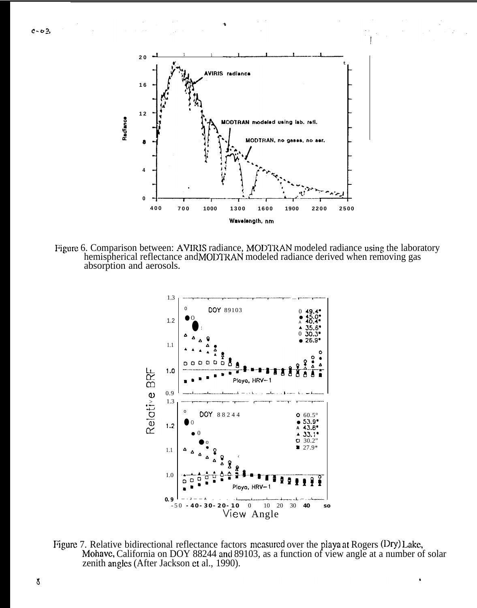

Figure 6. Comparison between: AVIRIS radiance, MODTRAN modeled radiance using the laboratory hemispherical reflectance and MODTRAN modeled radiance derived when removing gas absorption and aerosols.



Figure 7. Relative bidirectional reflectance factors measured over the playa at Rogers (Dry) Lake, Mohave, California on DOY 88244 and 89103, as a function of view angle at a number of solar zenith angles (After Jackson et al., 1990).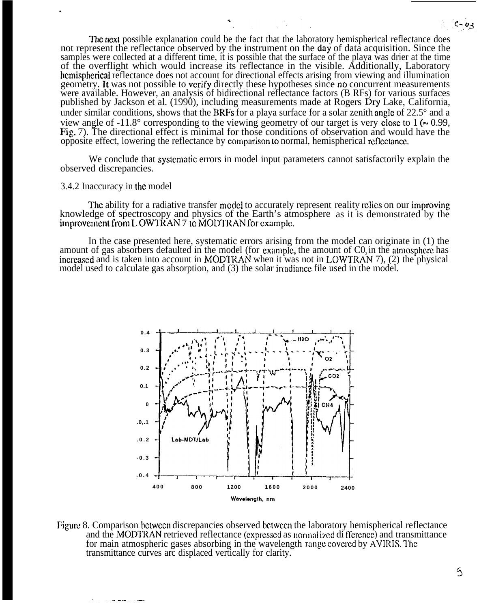The next possible explanation could be the fact that the laboratory hemispherical reflectance does not represent the reflectance observed by the instrument on the day of data acquisition. Since the samples were collected at a different time, it is possible that the surface of the playa was drier at the time of the overflight which would increase its reflectance in the visible. Additionally, Laboratory hemispherical reflectance does not account for directional effects arising from viewing and illumination geometry. It was not possible to verify directly these hypotheses since no concurrent measurements were available. However, an analysis of bidirectional reflectance factors (B RFs) for various surfaces published by Jackson et al. (1990), including measurements made at Rogers Dry Lake, California, under similar conditions, shows that the BRFs for a playa surface for a solar zenith angle of  $22.5^\circ$  and a view angle of -11.8° corresponding to the viewing geometry of our target is very close to 1 ( $\approx 0.99$ , Fig. 7). The directional effect is minimal for those conditions of observation and would have the opposite effect, lowering the reflectance by comparison to normal, hemispherical reflectance.

We conclude that systematic errors in model input parameters cannot satisfactorily explain the observed discrepancies.

#### 3.4.2 Inaccuracy in the model

..— —\_ .—. .—— \_\_\_

.

The ability for a radiative transfer model to accurately represent reality relies on our improving knowledge of spectroscopy and physics of the Earth's atmosphere as it is demonstrated by the improvement from L OWTRAN 7 to MODTRAN for example.

In the case presented here, systematic errors arising from the model can originate in (1) the amount of gas absorbers defaulted in the model (for example, the amount of  $C_0$ ) in the atmosphere has increased and is taken into account in MODTRAN when it was not in LOWTRAN 7), (2) the physical model used to calculate gas absorption, and  $(3)$  the solar irradiance file used in the model.



Figure 8. Comparison between discrepancies observed between the laboratory hemispherical reflectance and the MODTRAN retrieved reflectance (expressed as normal ized di fference) and transmittance for main atmospheric gases absorbing in the wavelength range covered by AVIRIS. The transmittance curves arc displaced vertically for clarity.

 $C - 03$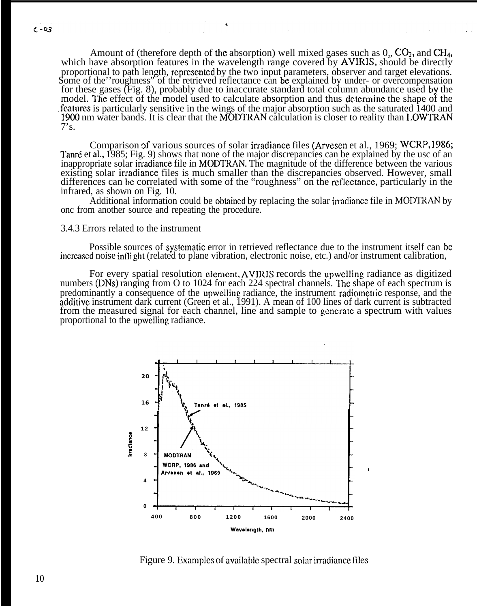Amount of (therefore depth of the absorption) well mixed gases such as  $0<sub>2</sub>$ , CO<sub>2</sub>, and CH<sub>4</sub>, which have absorption features in the wavelength range covered by AVIRIS, should be directly proportional to path length, rcprcsentcd by the two input parameters, observer and target elevations. Some of the 'roughness' of the retrieved reflectance can be explained by under- or overcompensation for these gases (Fig. 8), probably due to inaccurate standard total column abundance used by the model. The effect of the model used to calculate absorption and thus determine the shape of the features is particularly sensitive in the wings of the major absorption such as the saturated 1400 and 1900 nm water bands. It is clear that the MODTRAN calculation is closer to reality than LOWTRAN  $7's.$ 

Comparison of various sources of solar irradiance files (Arvescn et al., 1969; WCRP, 1986; Tanré et al., 1985; Fig. 9) shows that none of the major discrepancies can be explained by the usc of an inappropriate solar irradiance file in MODTRAN. The magnitude of the difference between the various existing solar irradiance files is much smaller than the discrepancies observed. However, small differences can be correlated with some of the "roughness" on the reflectance, particularly in the infrared, as shown on Fig. 10.

Additional information could be obtained by replacing the solar irradiance file in MODTRAN by onc from another source and repeating the procedure.

#### 3.4.3 Errors related to the instrument

Possible sources of systematic error in retrieved reflectance due to the instrument itself can be increased noise inflight (related to plane vibration, electronic noise, etc.) and/or instrument calibration,

For every spatial resolution element, AVIRIS records the upwelling radiance as digitized numbers (DNs) ranging from O to 1024 for each 224 spectral channels. The shape of each spectrum is predominantly a consequence of the upwelling radiance, the instrument radiometric response, and the additive instrument dark current (Green et al., 1991). A mean of 100 lines of dark current is subtracted from the measured signal for each channel, line and sample to generate a spectrum with values proportional to the upwclling radiance.



Figure 9. Examples of available spectral solar irradiance files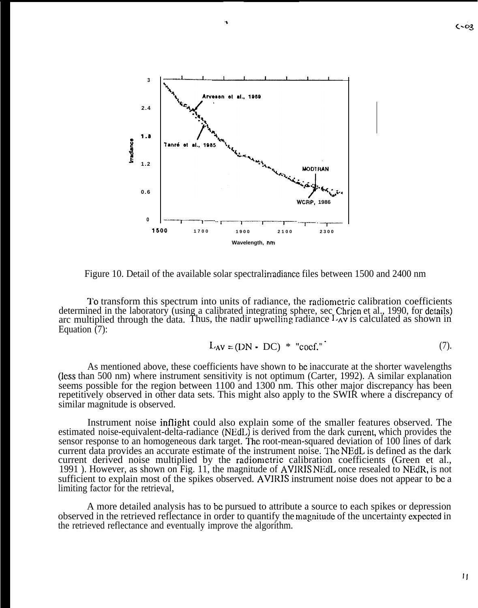

Figure 10. Detail of the available solar spectral invariance files between 1500 and 2400 nm

I'o transform this spectrum into units of radiance, the radiometric calibration coefficients determined in the laboratory (using a calibrated integrating sphere, sec Chrien et al., 1990, for details) arc multiplied through the data. Thus, the nadir upwelling radiance  $L_{AV}$  is calculated as shown in Equation  $(7)$ :

$$
L_{AV} = (DN - DC) * "coef." \tag{7}
$$

As mentioned above, these coefficients have shown to bc inaccurate at the shorter wavelengths (less than 500 nm) where instrument sensitivity is not optimum (Carter, 1992). A similar explanation seems possible for the region between 1100 and 1300 nm. This other major discrepancy has been repetitively observed in other data sets. This might also apply to the SWIR where a discrepancy of similar magnitude is observed.

Instrument noise inflight could also explain some of the smaller features observed. The estimated noise-equivalent-delta-radiance (NEdL) is derived from the dark current, which provides the sensor response to an homogeneous dark target. The root-mean-squared deviation of 100 lines of dark current data provides an accurate estimate of the instrument noise. The NEdL is defined as the dark current derived noise multiplied by the radiometric calibration coefficients (Green et al., 1991). However, as shown on Fig. 11, the magnitude of AVIRIS NEdL once resealed to NEdR, is not sufficient to explain most of the spikes observed. AVIRIS instrument noise does not appear to be a limiting factor for the retrieval,

A more detailed analysis has to bc pursued to attribute a source to each spikes or depression observed in the retrieved reflectance in order to quantify the rnagnitudc of the uncertainty expcctcd in the retrieved reflectance and eventually improve the algorithm.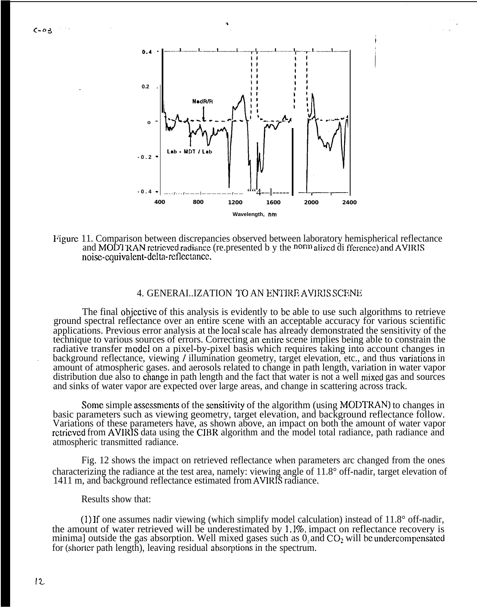$0.93$ 

**.**



I

Figure 11. Comparison between discrepancies observed between laboratory hemispherical reflectance and MODI RAN retrieved radiance (re.presented b y the norm alized di fference) and AVIRIS noise-equivalent-delta-reflectance.

# 4. GENERAI..IZATION TO AN ENTIRE AVIRIS SCENE

The final objcctivc of this analysis is evidently to bc able to use such algorithms to retrieve ground spectral reflectance over an entire scene with an acceptable accuracy for various scientific applications. Previous error analysis at the local scale has already demonstrated the sensitivity of the technique to various sources of errors. Correcting an entire scene implies being able to constrain the radiative transfer model on a pixel-by-pixel basis which requires taking into account changes in background reflectance, viewing / illumination geometry, target elevation, etc., and thus variations in amount of atmospheric gases. and aerosols related to change in path length, variation in water vapor distribution due also to change in path length and the fact that water is not a well mixed gas and sources and sinks of water vapor are expected over large areas, and change in scattering across track.

Some simple assessments of the sensitivity of the algorithm (using MODTRAN) to changes in basic parameters such as viewing geometry, target elevation, and background reflectance follow. Variations of these parameters have, as shown above, an impact on both the amount of water vapor rctricvcd from AVIRIS data using the CIBR algorithm and the model total radiance, path radiance and atmospheric transmitted radiance.

Fig. 12 shows the impact on retrieved reflectance when parameters arc changed from the ones characterizing the radiance at the test area, namely: viewing angle of 11.8° off-nadir, target elevation of 1411 m, and background reflectance estimated from AVIRIS radiance.

Results show that:

(1) If one assumes nadir viewing (which simplify model calculation) instead of 11.8° off-nadir, the amount of water retrieved will be underestimated by 1.1%, impact on reflectance recovery is minima] outside the gas absorption. Well mixed gases such as  $0$ , and  $CO<sub>2</sub>$  will be undercompensated for (shorter path length), leaving residual absorptions in the spectrum.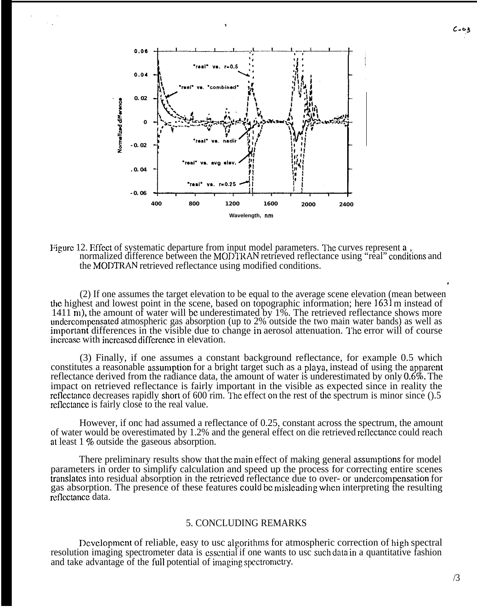

#### Figure 12. Fifect of systematic departure from input model parameters. The curves represent a. normalized difference between the MODTRAN retrieved reflectance using "real" conditions and the MODTRAN retrieved reflectance using modified conditions.

(2) If one assumes the target elevation to be equal to the average scene elevation (mean between ' the highest and lowest point in the scene, based on topographic information; here 1631 m instead of 1411 m), the amount of water will be underestimated by 1%. The retrieved reflectance shows more undercompensated atmospheric gas absorption (up to 2% outside the two main water bands) as well as important differences in the visible due to change in aerosol attenuation. The error will of course increase with increased difference in elevation.

(3) Finally, if one assumes a constant background reflectance, for example 0.5 which constitutes a reasonable assumption for a bright target such as a playa, instead of using the apparent reflectance derived from the radiance data, the amount of water is underestimated by only  $0.6\%$ . The impact on retrieved reflectance is fairly important in the visible as expected since in reality the reflectance decreases rapidly short of  $600$  rim. The effect on the rest of the spectrum is minor since  $( ).5$ reflectance is fairly close to the real value.

However, if onc had assumed a reflectance of 0.25, constant across the spectrum, the amount of water would be overestimated by 1.2% and the general effect on die retrieved reflectance could reach at least 1 % outside the gaseous absorption.

There preliminary results show that the main effect of making general assumptions for model parameters in order to simplify calculation and speed up the process for correcting entire scenes translates into residual absorption in the retrieved reflectance due to over- or undercompensation for gas absorption. The presence of these features could be misleading when interpreting the resulting reflectance data.

# 5. CONCLUDING REMARKS

Development of reliable, easy to usc algorithms for atmospheric correction of high spectral resolution imaging spectrometer data is essential if one wants to usc such data in a quantitative fashion and take advantage of the full potential of imaging spectrometry.

 $0 - 03$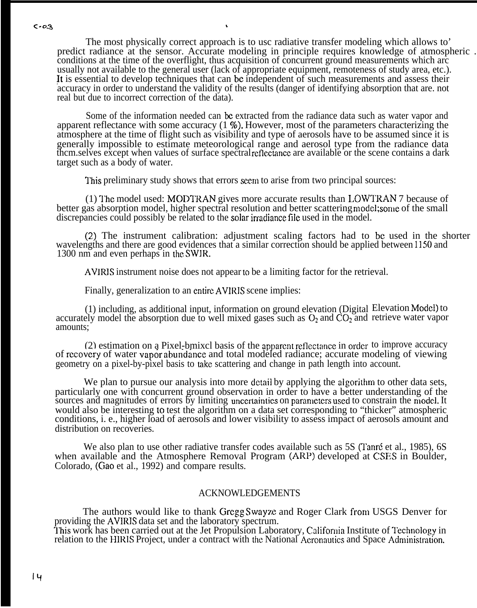The most physically correct approach is to usc radiative transfer modeling which allows to' predict radiance at the sensor. Accurate modeling in principle requires knowledge of atmospheric . conditions at the time of the overflight, thus acquisition of concurrent ground measurements which arc usually not available to the general user (lack of appropriate equipment, remoteness of study area, etc.). lt is essential to develop techniques that can be independent of such measurements and assess their accuracy in order to understand the validity of the results (danger of identifying absorption that are. not real but due to incorrect correction of the data).

Some of the information needed can be extracted from the radiance data such as water vapor and apparent reflectance with some accuracy  $(1, \%)$ . However, most of the parameters characterizing the atmosphere at the time of flight such as visibility and type of aerosols have to be assumed since it is generally impossible to estimate meteorological range and aerosol type from the radiance data them.selves except when values of surface spectral reflectance are available or the scene contains a dark target such as a body of water.

This preliminary study shows that errors seem to arise from two principal sources:

(1) The model used: MODTRAN gives more accurate results than LOWTRAN 7 because of better gas absorption model, higher spectral resolution and better scattering model; some of the small discrepancies could possibly be related to the solar irradiance file used in the model.

(2) The instrument calibration: adjustment scaling factors had to be used in the shorter wavelengths and there are good evidences that a similar correction should be applied between 1150 and 1300 nm and even perhaps in the SWIR.

AVIRIS instrument noise does not appear to be a limiting factor for the retrieval.

Finally, generalization to an entire AVIRIS scene implies:

(1) including, as additional input, information on ground elevation (Digital accurately model the absorption due to well mixed gases such as  $O_2$  and  $CO_2$  and amounts; Elevation Model) to retrieve water vapor

(2) estimation on a Pixel-bmixcl basis of the apparent reflectance in order to improve accuracy of recovery of water vapor abundance and total modeled radiance; accurate modeling of viewing geometry on a pixel-by-pixel basis to take scattering and change in path length into account.

We plan to pursue our analysis into more detail by applying the algorithm to other data sets, particularly one with concurrent ground observation in order to have a better understanding of the sources and magnitudes of errors by limiting uncertainties on parameters used to constrain the model. It would also be interesting to test the algorithm on a data set corresponding to "thicker" atmospheric conditions, i. e., higher load of aerosols and lower visibility to assess impact of aerosols amount and distribution on recoveries.

We also plan to use other radiative transfer codes available such as 5S (Tanré et al., 1985), 6S when available and the Atmosphere Removal Program (ARP) developed at CSES in Boulder, Colorado, (Gao et al., 1992) and compare results.

# ACKNOWLEDGEMENTS

The authors would like to thank Gregg Swayze and Roger Clark froni USGS Denver for providing the AVIRIS data set and the laboratory spectrum. This work has been carried out at the Jet Propulsion Laboratory, California Institute of Technology in relation to the HIRIS Project, under a contract with the National Aeronautics and Space Administration.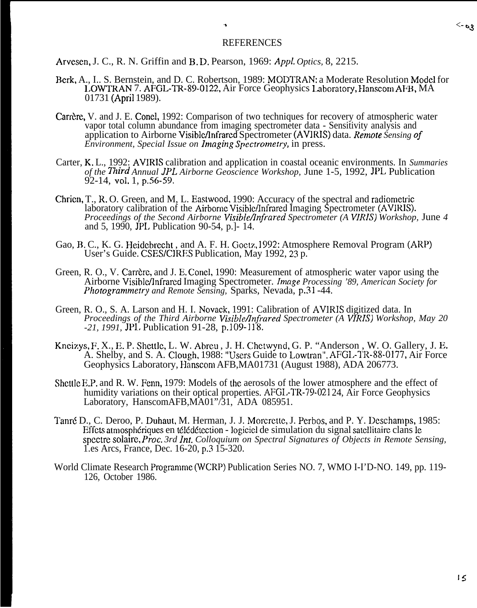#### REFERENCES

Arvescn, J. C., R. N. Griffin and B. D. Pearson, 1969: *Appl. Optics,* 8, 2215.

- Berk, A., I.. S. Bernstein, and D. C. Robertson, 1989: MODTRAN: a Moderate Resolution Model for LOWTRAN 7. AFGL-TR-89-0122, Air Force Geophysics Linboratory, Hanscom AFH, MA 01731 (April 1989).
- Carrère, V. and J. E. Concl, 1992: Comparison of two techniques for recovery of atmospheric water vapor total column abundance from imaging spectrometer data - Sensitivity analysis and application to Airborne Visiblehfrared Spectrometer (AVIRIS) data. *Renwte Sensing of Environment, Special Issue on Imaging Spectrometry,* in press.
- Carter, K. L., 1992: AVIRIS calibration and application in coastal oceanic environments. In *Summaries of the Third Annual JPL Airborne Geoscience Workshop, June 1-5, 1992, JPL Publication* 92-14, VO1. 1, p.56-59.
- Chricn, T., R. O. Green, and M, L. Eastwood, 1990: Accuracy of the spectral and radiomctric laboratory calibration of the Airborne Visible/Infrared Imaging Spectrometer (AVIRIS). *Proceedings of the Second Airborne Visible/Infrared Spectrometer (A VIRIS) Workshop, June 4* and 5, 1990, JPL Publication 90-54, p.]- 14.
- Gao, B. C., K. G. Heidcbrecht , and A. F. H. Goctz, 1992: Atmosphere Removal Program (ARP) User's Guide. CSES/CIRES Publication, May 1992, 23 p.
- Green, R. O., V. Carrère, and J. E. Conel, 1990: Measurement of atmospheric water vapor using the Airborne VisibleAnfrarcd Imaging Spectrometer. *Image Processing '89, American Society for Photogrammetry and Remote Sensing,* Sparks, Nevada, p.31 -44.
- Green, R. O., S. A. Larson and H. I. Novack, 1991: Calibration of AVIRIS digitized data. In *Proceedings of the Third Airborne Visible/Infrared Spectrometer (A VIRIS) Workshop, May 20 -21, 1991,* JPL Publication 91-28, p.109-l 18.
- Kncizys, F. X., E. P. Shcttle, L. W. Abreu, J. H. Chetwynd, G. P. "Anderson, W. O. Gallery, J. E. A. Shelby, and S. A. Clough, 1988: "Users Guide to Lowtran". AFGL-TR-88-0177, Air Force Geophysics Laboratory, Hanscom AFB, MA01731 (August 1988), ADA 206773.
- Shcttlc E.P. and R. W. Fenn, 1979: Models of the aerosols of the lower atmosphere and the effect of humidity variations on their optical properties. AFGI,-TR-79-021 24, Air Force Geophysics Laboratory, HanscomAFB,MA01"/31, ADA 085951.
- Tanré D., C. Deroo, P. Duhaut, M. Herman, J. J. Morcrette, J. Perbos, and P. Y. Deschamps, 1985: Effets atmosphériques en télédétection - logiciel de simulation du signal satellitaire clans le spcctre solairc, *Proc. 3rd lnt. Colloquium on Spectral Signatures of Objects in Remote Sensing,* 1.es Arcs, France, Dec. 16-20, p.3 15-320.
- World Climate Research Programme (WCRP) Publication Series NO. 7, WMO I-I'D-NO. 149, pp. 119- 126, October 1986.